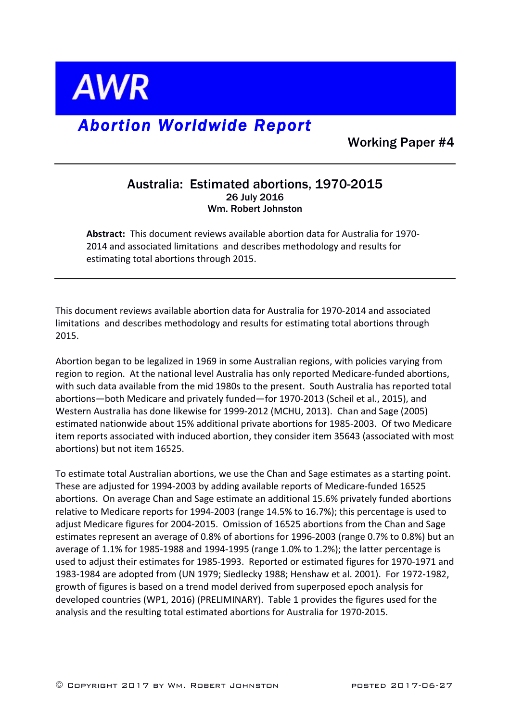

## *Abortion Worldwide Report*

Working Paper #4

## Australia: Estimated abortions, 1970-2015 26 July 2016 Wm. Robert Johnston

Abstract: This document reviews available abortion data for Australia for 1970-2014 and associated limitations and describes methodology and results for estimating total abortions through 2015.

This document reviews available abortion data for Australia for 1970-2014 and associated limitations and describes methodology and results for estimating total abortions through 2015.

Abortion began to be legalized in 1969 in some Australian regions, with policies varying from region to region. At the national level Australia has only reported Medicare-funded abortions, with such data available from the mid 1980s to the present. South Australia has reported total abortions-both Medicare and privately funded-for 1970-2013 (Scheil et al., 2015), and Western Australia has done likewise for 1999-2012 (MCHU, 2013). Chan and Sage (2005) estimated nationwide about 15% additional private abortions for 1985-2003. Of two Medicare item reports associated with induced abortion, they consider item 35643 (associated with most abortions) but not item 16525.

To estimate total Australian abortions, we use the Chan and Sage estimates as a starting point. These are adjusted for 1994-2003 by adding available reports of Medicare-funded 16525 abortions. On average Chan and Sage estimate an additional 15.6% privately funded abortions relative to Medicare reports for 1994-2003 (range  $14.5\%$  to  $16.7\%$ ); this percentage is used to adjust Medicare figures for 2004-2015. Omission of 16525 abortions from the Chan and Sage estimates represent an average of 0.8% of abortions for 1996-2003 (range 0.7% to 0.8%) but an average of  $1.1\%$  for 1985-1988 and 1994-1995 (range  $1.0\%$  to  $1.2\%$ ); the latter percentage is used to adjust their estimates for 1985-1993. Reported or estimated figures for 1970-1971 and 1983-1984 are adopted from (UN 1979; Siedlecky 1988; Henshaw et al. 2001). For 1972-1982, growth of figures is based on a trend model derived from superposed epoch analysis for developed countries (WP1, 2016) (PRELIMINARY). Table 1 provides the figures used for the analysis and the resulting total estimated abortions for Australia for 1970-2015.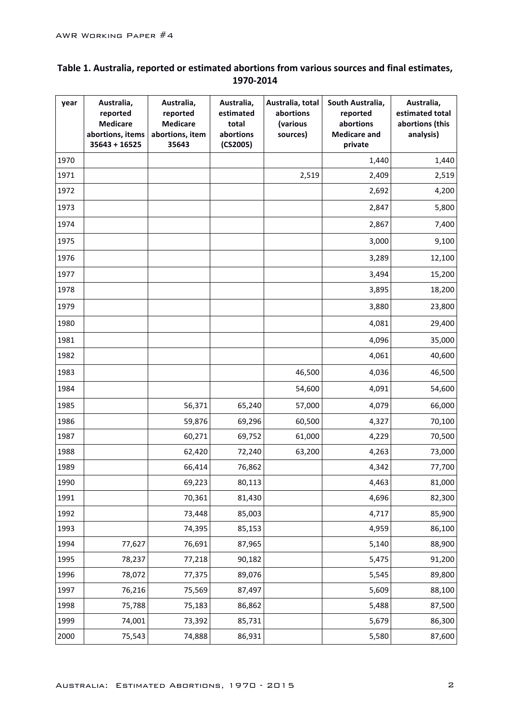## Table 1. Australia, reported or estimated abortions from various sources and final estimates, **1970-2014**

| year | Australia,<br>reported<br><b>Medicare</b><br>abortions, items<br>$35643 + 16525$ | Australia,<br>reported<br><b>Medicare</b><br>abortions, item<br>35643 | Australia,<br>estimated<br>total<br>abortions<br>(CS2005) | Australia, total<br>abortions<br>(various<br>sources) | South Australia,<br>reported<br>abortions<br><b>Medicare and</b><br>private | Australia,<br>estimated total<br>abortions (this<br>analysis) |
|------|----------------------------------------------------------------------------------|-----------------------------------------------------------------------|-----------------------------------------------------------|-------------------------------------------------------|-----------------------------------------------------------------------------|---------------------------------------------------------------|
| 1970 |                                                                                  |                                                                       |                                                           |                                                       | 1,440                                                                       | 1,440                                                         |
| 1971 |                                                                                  |                                                                       |                                                           | 2,519                                                 | 2,409                                                                       | 2,519                                                         |
| 1972 |                                                                                  |                                                                       |                                                           |                                                       | 2,692                                                                       | 4,200                                                         |
| 1973 |                                                                                  |                                                                       |                                                           |                                                       | 2,847                                                                       | 5,800                                                         |
| 1974 |                                                                                  |                                                                       |                                                           |                                                       | 2,867                                                                       | 7,400                                                         |
| 1975 |                                                                                  |                                                                       |                                                           |                                                       | 3,000                                                                       | 9,100                                                         |
| 1976 |                                                                                  |                                                                       |                                                           |                                                       | 3,289                                                                       | 12,100                                                        |
| 1977 |                                                                                  |                                                                       |                                                           |                                                       | 3,494                                                                       | 15,200                                                        |
| 1978 |                                                                                  |                                                                       |                                                           |                                                       | 3,895                                                                       | 18,200                                                        |
| 1979 |                                                                                  |                                                                       |                                                           |                                                       | 3,880                                                                       | 23,800                                                        |
| 1980 |                                                                                  |                                                                       |                                                           |                                                       | 4,081                                                                       | 29,400                                                        |
| 1981 |                                                                                  |                                                                       |                                                           |                                                       | 4,096                                                                       | 35,000                                                        |
| 1982 |                                                                                  |                                                                       |                                                           |                                                       | 4,061                                                                       | 40,600                                                        |
| 1983 |                                                                                  |                                                                       |                                                           | 46,500                                                | 4,036                                                                       | 46,500                                                        |
| 1984 |                                                                                  |                                                                       |                                                           | 54,600                                                | 4,091                                                                       | 54,600                                                        |
| 1985 |                                                                                  | 56,371                                                                | 65,240                                                    | 57,000                                                | 4,079                                                                       | 66,000                                                        |
| 1986 |                                                                                  | 59,876                                                                | 69,296                                                    | 60,500                                                | 4,327                                                                       | 70,100                                                        |
| 1987 |                                                                                  | 60,271                                                                | 69,752                                                    | 61,000                                                | 4,229                                                                       | 70,500                                                        |
| 1988 |                                                                                  | 62,420                                                                | 72,240                                                    | 63,200                                                | 4,263                                                                       | 73,000                                                        |
| 1989 |                                                                                  | 66,414                                                                | 76,862                                                    |                                                       | 4,342                                                                       | 77,700                                                        |
| 1990 |                                                                                  | 69,223                                                                | 80,113                                                    |                                                       | 4,463                                                                       | 81,000                                                        |
| 1991 |                                                                                  | 70,361                                                                | 81,430                                                    |                                                       | 4,696                                                                       | 82,300                                                        |
| 1992 |                                                                                  | 73,448                                                                | 85,003                                                    |                                                       | 4,717                                                                       | 85,900                                                        |
| 1993 |                                                                                  | 74,395                                                                | 85,153                                                    |                                                       | 4,959                                                                       | 86,100                                                        |
| 1994 | 77,627                                                                           | 76,691                                                                | 87,965                                                    |                                                       | 5,140                                                                       | 88,900                                                        |
| 1995 | 78,237                                                                           | 77,218                                                                | 90,182                                                    |                                                       | 5,475                                                                       | 91,200                                                        |
| 1996 | 78,072                                                                           | 77,375                                                                | 89,076                                                    |                                                       | 5,545                                                                       | 89,800                                                        |
| 1997 | 76,216                                                                           | 75,569                                                                | 87,497                                                    |                                                       | 5,609                                                                       | 88,100                                                        |
| 1998 | 75,788                                                                           | 75,183                                                                | 86,862                                                    |                                                       | 5,488                                                                       | 87,500                                                        |
| 1999 | 74,001                                                                           | 73,392                                                                | 85,731                                                    |                                                       | 5,679                                                                       | 86,300                                                        |
| 2000 | 75,543                                                                           | 74,888                                                                | 86,931                                                    |                                                       | 5,580                                                                       | 87,600                                                        |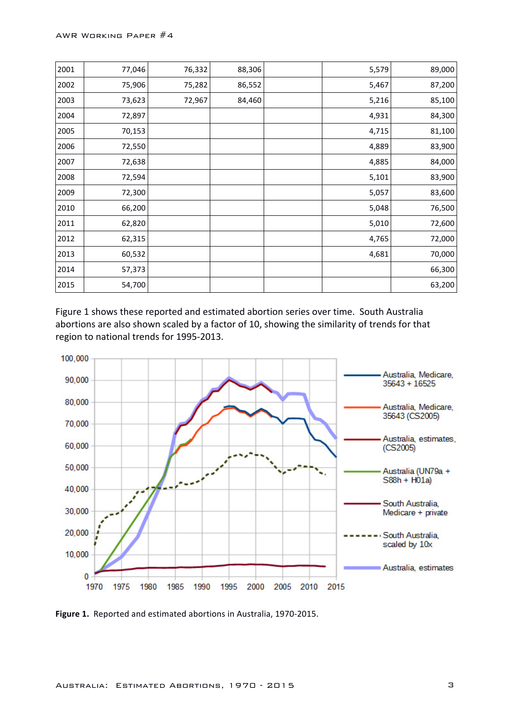| 2001 | 77,046 | 76,332 | 88,306 | 5,579 | 89,000 |
|------|--------|--------|--------|-------|--------|
| 2002 | 75,906 | 75,282 | 86,552 | 5,467 | 87,200 |
| 2003 | 73,623 | 72,967 | 84,460 | 5,216 | 85,100 |
| 2004 | 72,897 |        |        | 4,931 | 84,300 |
| 2005 | 70,153 |        |        | 4,715 | 81,100 |
| 2006 | 72,550 |        |        | 4,889 | 83,900 |
| 2007 | 72,638 |        |        | 4,885 | 84,000 |
| 2008 | 72,594 |        |        | 5,101 | 83,900 |
| 2009 | 72,300 |        |        | 5,057 | 83,600 |
| 2010 | 66,200 |        |        | 5,048 | 76,500 |
| 2011 | 62,820 |        |        | 5,010 | 72,600 |
| 2012 | 62,315 |        |        | 4,765 | 72,000 |
| 2013 | 60,532 |        |        | 4,681 | 70,000 |
| 2014 | 57,373 |        |        |       | 66,300 |
| 2015 | 54,700 |        |        |       | 63,200 |

Figure 1 shows these reported and estimated abortion series over time. South Australia abortions are also shown scaled by a factor of 10, showing the similarity of trends for that region to national trends for 1995-2013.



Figure 1. Reported and estimated abortions in Australia, 1970-2015.